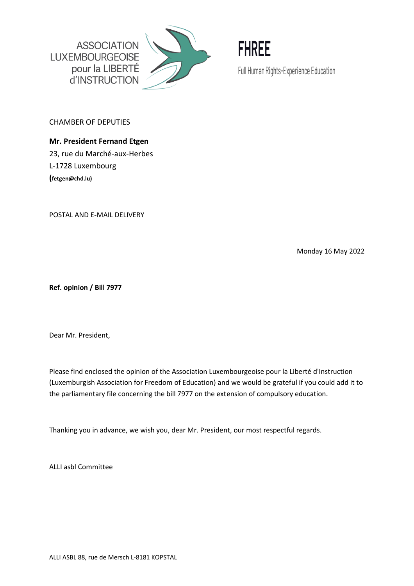



CHAMBER OF DEPUTIES

**Mr. President Fernand Etgen**  23, rue du Marché-aux-Herbes L-1728 Luxembourg **(fetgen@chd.lu)** 

POSTAL AND E-MAIL DELIVERY

Monday 16 May 2022

**Ref. opinion / Bill 7977**

Dear Mr. President,

Please find enclosed the opinion of the Association Luxembourgeoise pour la Liberté d'Instruction (Luxemburgish Association for Freedom of Education) and we would be grateful if you could add it to the parliamentary file concerning the bill 7977 on the extension of compulsory education.

Thanking you in advance, we wish you, dear Mr. President, our most respectful regards.

ALLI asbl Committee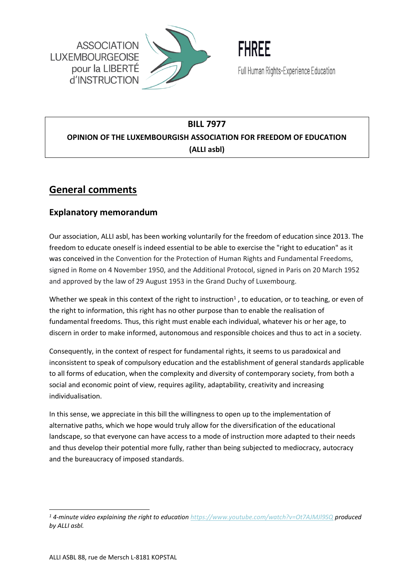



## **BILL 7977 OPINION OF THE LUXEMBOURGISH ASSOCIATION FOR FREEDOM OF EDUCATION (ALLI asbl)**

# **General comments**

### **Explanatory memorandum**

Our association, ALLI asbl, has been working voluntarily for the freedom of education since 2013. The freedom to educate oneself is indeed essential to be able to exercise the "right to education" as it was conceived in the Convention for the Protection of Human Rights and Fundamental Freedoms, signed in Rome on 4 November 1950, and the Additional Protocol, signed in Paris on 20 March 1952 and approved by the law of 29 August 1953 in the Grand Duchy of Luxembourg.

Whether we speak in this context of the right to instruction<sup>1</sup>, to education, or to teaching, or even of the right to information, this right has no other purpose than to enable the realisation of fundamental freedoms. Thus, this right must enable each individual, whatever his or her age, to discern in order to make informed, autonomous and responsible choices and thus to act in a society.

Consequently, in the context of respect for fundamental rights, it seems to us paradoxical and inconsistent to speak of compulsory education and the establishment of general standards applicable to all forms of education, when the complexity and diversity of contemporary society, from both a social and economic point of view, requires agility, adaptability, creativity and increasing individualisation.

In this sense, we appreciate in this bill the willingness to open up to the implementation of alternative paths, which we hope would truly allow for the diversification of the educational landscape, so that everyone can have access to a mode of instruction more adapted to their needs and thus develop their potential more fully, rather than being subjected to mediocracy, autocracy and the bureaucracy of imposed standards.

*<sup>1</sup> 4-minute video explaining the right to education<https://www.youtube.com/watch?v=Ot7AJMJl9SQ> produced by ALLI asbl.*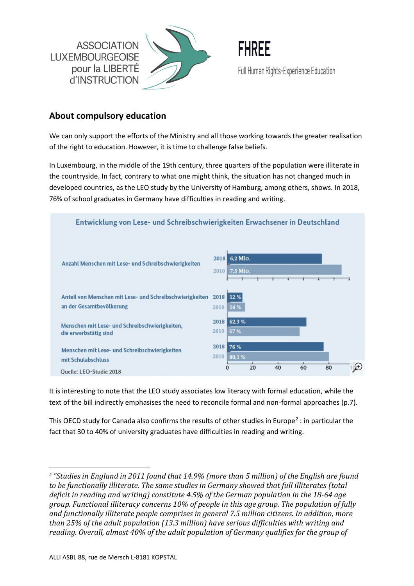



### **About compulsory education**

We can only support the efforts of the Ministry and all those working towards the greater realisation of the right to education. However, it is time to challenge false beliefs.

In Luxembourg, in the middle of the 19th century, three quarters of the population were illiterate in the countryside. In fact, contrary to what one might think, the situation has not changed much in developed countries, as the LEO study by the University of Hamburg, among others, shows. In 2018, 76% of school graduates in Germany have difficulties in reading and writing.



It is interesting to note that the LEO study associates low literacy with formal education, while the text of the bill indirectly emphasises the need to reconcile formal and non-formal approaches (p.7).

This OECD study for Canada also confirms the results of other studies in Europe<sup>2</sup> : in particular the fact that 30 to 40% of university graduates have difficulties in reading and writing.

*<sup>2</sup> "Studies in England in 2011 found that 14.9% (more than 5 million) of the English are found to be functionally illiterate. The same studies in Germany showed that full illiterates (total deficit in reading and writing) constitute 4.5% of the German population in the 18-64 age group. Functional illiteracy concerns 10% of people in this age group. The population of fully and functionally illiterate people comprises in general 7.5 million citizens. In addition, more than 25% of the adult population (13.3 million) have serious difficulties with writing and reading. Overall, almost 40% of the adult population of Germany qualifies for the group of*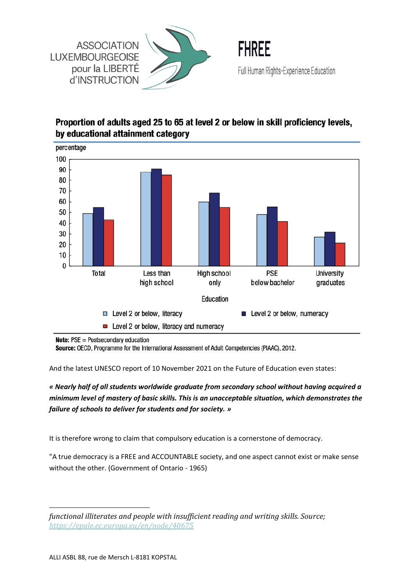



## Proportion of adults aged 25 to 65 at level 2 or below in skill proficiency levels, by educational attainment category



**Note:**  $PSE = Postsecondary education$ 

Source: OECD, Programme for the International Assessment of Adult Competencies (PIAAC), 2012.

And the latest UNESCO report of 10 November 2021 on the Future of Education even states:

*« Nearly half of all students worldwide graduate from secondary school without having acquired a minimum level of mastery of basic skills. This is an unacceptable situation, which demonstrates the failure of schools to deliver for students and for society. »*

It is therefore wrong to claim that compulsory education is a cornerstone of democracy.

"A true democracy is a FREE and ACCOUNTABLE society, and one aspect cannot exist or make sense without the other. (Government of Ontario - 1965)

*functional illiterates and people with insufficient reading and writing skills. Source; [https://epale.ec.europa.eu/en/node/40675](https://epale.ec.europa.eu/en/node/40675?fbclid=IwAR1IQbOOtSXSioWBqMDsSglKp0hyCUJXjtb2mqty7NNBKjinixT4HgprE_Y)*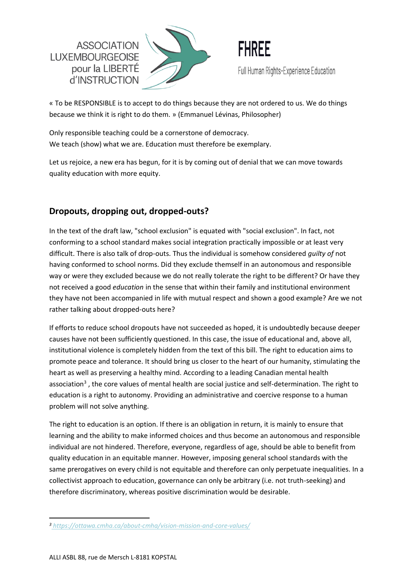



« To be RESPONSIBLE is to accept to do things because they are not ordered to us. We do things because we think it is right to do them. » (Emmanuel Lévinas, Philosopher)

Only responsible teaching could be a cornerstone of democracy. We teach (show) what we are. Education must therefore be exemplary.

Let us rejoice, a new era has begun, for it is by coming out of denial that we can move towards quality education with more equity.

## **Dropouts, dropping out, dropped-outs?**

In the text of the draft law, "school exclusion" is equated with "social exclusion". In fact, not conforming to a school standard makes social integration practically impossible or at least very difficult. There is also talk of drop-outs. Thus the individual is somehow considered *guilty of* not having conformed to school norms. Did they exclude themself in an autonomous and responsible way or were they excluded because we do not really tolerate the right to be different? Or have they not received a good *education* in the sense that within their family and institutional environment they have not been accompanied in life with mutual respect and shown a good example? Are we not rather talking about dropped-outs here?

If efforts to reduce school dropouts have not succeeded as hoped, it is undoubtedly because deeper causes have not been sufficiently questioned. In this case, the issue of educational and, above all, institutional violence is completely hidden from the text of this bill. The right to education aims to promote peace and tolerance. It should bring us closer to the heart of our humanity, stimulating the heart as well as preserving a healthy mind. According to a leading Canadian mental health association<sup>3</sup>, the core values of mental health are social justice and self-determination. The right to education is a right to autonomy. Providing an administrative and coercive response to a human problem will not solve anything.

The right to education is an option. If there is an obligation in return, it is mainly to ensure that learning and the ability to make informed choices and thus become an autonomous and responsible individual are not hindered. Therefore, everyone, regardless of age, should be able to benefit from quality education in an equitable manner. However, imposing general school standards with the same prerogatives on every child is not equitable and therefore can only perpetuate inequalities. In a collectivist approach to education, governance can only be arbitrary (i.e. not truth-seeking) and therefore discriminatory, whereas positive discrimination would be desirable.

*<sup>3</sup> <https://ottawa.cmha.ca/about-cmha/vision-mission-and-core-values/>*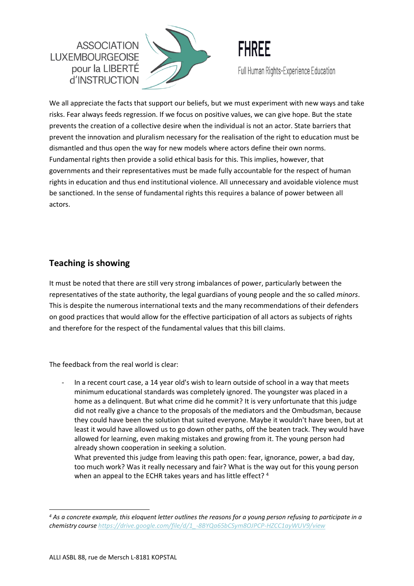



We all appreciate the facts that support our beliefs, but we must experiment with new ways and take risks. Fear always feeds regression. If we focus on positive values, we can give hope. But the state prevents the creation of a collective desire when the individual is not an actor. State barriers that prevent the innovation and pluralism necessary for the realisation of the right to education must be dismantled and thus open the way for new models where actors define their own norms. Fundamental rights then provide a solid ethical basis for this. This implies, however, that governments and their representatives must be made fully accountable for the respect of human rights in education and thus end institutional violence. All unnecessary and avoidable violence must be sanctioned. In the sense of fundamental rights this requires a balance of power between all actors.

### **Teaching is showing**

It must be noted that there are still very strong imbalances of power, particularly between the representatives of the state authority, the legal guardians of young people and the so called *minors*. This is despite the numerous international texts and the many recommendations of their defenders on good practices that would allow for the effective participation of all actors as subjects of rights and therefore for the respect of the fundamental values that this bill claims.

The feedback from the real world is clear:

In a recent court case, a 14 year old's wish to learn outside of school in a way that meets minimum educational standards was completely ignored. The youngster was placed in a home as a delinquent. But what crime did he commit? It is very unfortunate that this judge did not really give a chance to the proposals of the mediators and the Ombudsman, because they could have been the solution that suited everyone. Maybe it wouldn't have been, but at least it would have allowed us to go down other paths, off the beaten track. They would have allowed for learning, even making mistakes and growing from it. The young person had already shown cooperation in seeking a solution.

What prevented this judge from leaving this path open: fear, ignorance, power, a bad day, too much work? Was it really necessary and fair? What is the way out for this young person when an appeal to the ECHR takes years and has little effect?<sup>4</sup>

*<sup>4</sup> As a concrete example, this eloquent letter outlines the reasons for a young person refusing to participate in a chemistry cours[e https://drive.google.com/file/d/1\\_-8BYQa65bCSym8OJPCP-HZCC1ayWUV9/view](https://drive.google.com/file/d/1_-8BYQa65bCSym8OJPCP-HZCC1ayWUV9/view)*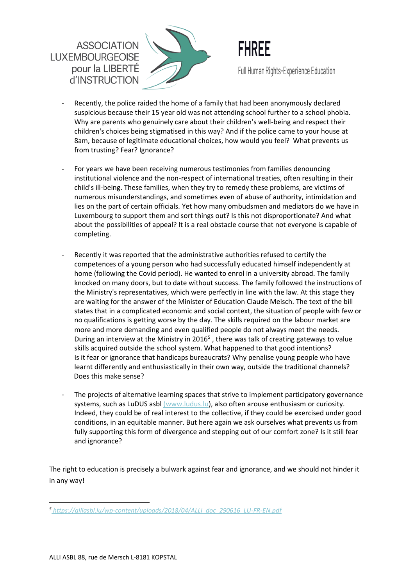



- Recently, the police raided the home of a family that had been anonymously declared suspicious because their 15 year old was not attending school further to a school phobia. Why are parents who genuinely care about their children's well-being and respect their children's choices being stigmatised in this way? And if the police came to your house at 8am, because of legitimate educational choices, how would you feel? What prevents us from trusting? Fear? Ignorance?
- For years we have been receiving numerous testimonies from families denouncing institutional violence and the non-respect of international treaties, often resulting in their child's ill-being. These families, when they try to remedy these problems, are victims of numerous misunderstandings, and sometimes even of abuse of authority, intimidation and lies on the part of certain officials. Yet how many ombudsmen and mediators do we have in Luxembourg to support them and sort things out? Is this not disproportionate? And what about the possibilities of appeal? It is a real obstacle course that not everyone is capable of completing.
- Recently it was reported that the administrative authorities refused to certify the competences of a young person who had successfully educated himself independently at home (following the Covid period). He wanted to enrol in a university abroad. The family knocked on many doors, but to date without success. The family followed the instructions of the Ministry's representatives, which were perfectly in line with the law. At this stage they are waiting for the answer of the Minister of Education Claude Meisch. The text of the bill states that in a complicated economic and social context, the situation of people with few or no qualifications is getting worse by the day. The skills required on the labour market are more and more demanding and even qualified people do not always meet the needs. During an interview at the Ministry in 2016<sup>5</sup>, there was talk of creating gateways to value skills acquired outside the school system. What happened to that good intentions? Is it fear or ignorance that handicaps bureaucrats? Why penalise young people who have learnt differently and enthusiastically in their own way, outside the traditional channels? Does this make sense?
- The projects of alternative learning spaces that strive to implement participatory governance systems, such as LuDUS asbl [\(www.ludus.lu\)](http://www.ludus.lu/), also often arouse enthusiasm or curiosity. Indeed, they could be of real interest to the collective, if they could be exercised under good conditions, in an equitable manner. But here again we ask ourselves what prevents us from fully supporting this form of divergence and stepping out of our comfort zone? Is it still fear and ignorance?

The right to education is precisely a bulwark against fear and ignorance, and we should not hinder it in any way!

*<sup>5</sup> [https://alliasbl.lu/wp-content/uploads/2018/04/ALLI\\_doc\\_290616\\_LU-FR-EN.pdf](https://alliasbl.lu/wp-content/uploads/2018/04/ALLI_doc_290616_LU-FR-EN.pdf)*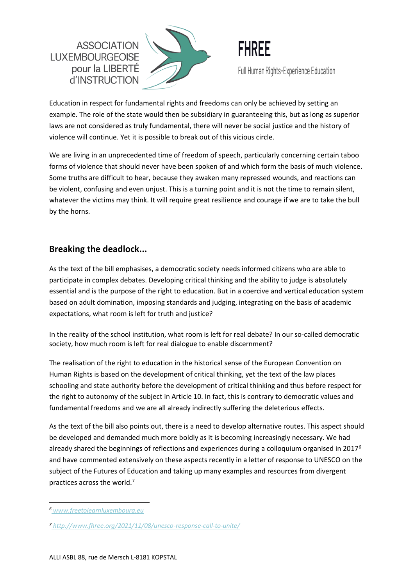**ASSOCIATION LUXEMBOURGEOISE** pour la LIBERTE d'INSTRUCTION





Education in respect for fundamental rights and freedoms can only be achieved by setting an example. The role of the state would then be subsidiary in guaranteeing this, but as long as superior laws are not considered as truly fundamental, there will never be social justice and the history of violence will continue. Yet it is possible to break out of this vicious circle.

We are living in an unprecedented time of freedom of speech, particularly concerning certain taboo forms of violence that should never have been spoken of and which form the basis of much violence. Some truths are difficult to hear, because they awaken many repressed wounds, and reactions can be violent, confusing and even unjust. This is a turning point and it is not the time to remain silent, whatever the victims may think. It will require great resilience and courage if we are to take the bull by the horns.

## **Breaking the deadlock...**

As the text of the bill emphasises, a democratic society needs informed citizens who are able to participate in complex debates. Developing critical thinking and the ability to judge is absolutely essential and is the purpose of the right to education. But in a coercive and vertical education system based on adult domination, imposing standards and judging, integrating on the basis of academic expectations, what room is left for truth and justice?

In the reality of the school institution, what room is left for real debate? In our so-called democratic society, how much room is left for real dialogue to enable discernment?

The realisation of the right to education in the historical sense of the European Convention on Human Rights is based on the development of critical thinking, yet the text of the law places schooling and state authority before the development of critical thinking and thus before respect for the right to autonomy of the subject in Article 10. In fact, this is contrary to democratic values and fundamental freedoms and we are all already indirectly suffering the deleterious effects.

As the text of the bill also points out, there is a need to develop alternative routes. This aspect should be developed and demanded much more boldly as it is becoming increasingly necessary. We had already shared the beginnings of reflections and experiences during a colloquium organised in 2017<sup>6</sup> and have commented extensively on these aspects recently in a letter of response to UNESCO on the subject of the Futures of Education and taking up many examples and resources from divergent practices across the world.<sup>7</sup>

*<sup>6</sup> [www.freetolearnluxembourg.eu](http://www.freetolearnluxembourg.eu/)*

*<sup>7</sup> <http://www.fhree.org/2021/11/08/unesco-response-call-to-unite/>*